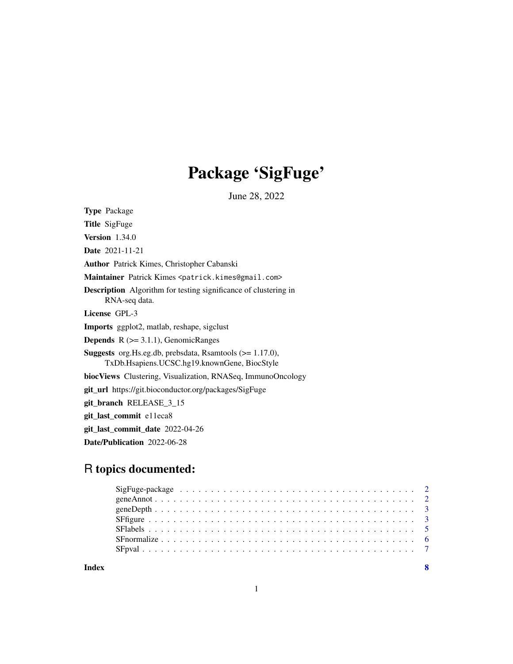## Package 'SigFuge'

June 28, 2022

<span id="page-0-0"></span>Type Package Title SigFuge Version 1.34.0 Date 2021-11-21 Author Patrick Kimes, Christopher Cabanski Maintainer Patrick Kimes <patrick.kimes@gmail.com> Description Algorithm for testing significance of clustering in RNA-seq data. License GPL-3 Imports ggplot2, matlab, reshape, sigclust **Depends**  $R$  ( $>= 3.1.1$ ), GenomicRanges Suggests org.Hs.eg.db, prebsdata, Rsamtools (>= 1.17.0), TxDb.Hsapiens.UCSC.hg19.knownGene, BiocStyle biocViews Clustering, Visualization, RNASeq, ImmunoOncology git\_url https://git.bioconductor.org/packages/SigFuge git\_branch RELEASE\_3\_15 git\_last\_commit e11eca8 git\_last\_commit\_date 2022-04-26 Date/Publication 2022-06-28

### R topics documented: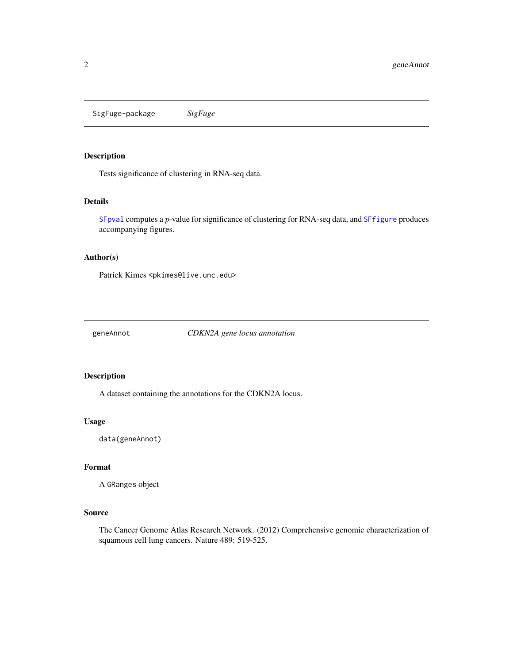<span id="page-1-0"></span>SigFuge-package *SigFuge*

#### Description

Tests significance of clustering in RNA-seq data.

#### Details

[SFpval](#page-6-1) computes a p-value for significance of clustering for RNA-seq data, and [SFfigure](#page-2-1) produces accompanying figures.

#### Author(s)

Patrick Kimes <pkimes@live.unc.edu>

geneAnnot *CDKN2A gene locus annotation*

#### Description

A dataset containing the annotations for the CDKN2A locus.

#### Usage

data(geneAnnot)

#### Format

A GRanges object

#### Source

The Cancer Genome Atlas Research Network. (2012) Comprehensive genomic characterization of squamous cell lung cancers. Nature 489: 519-525.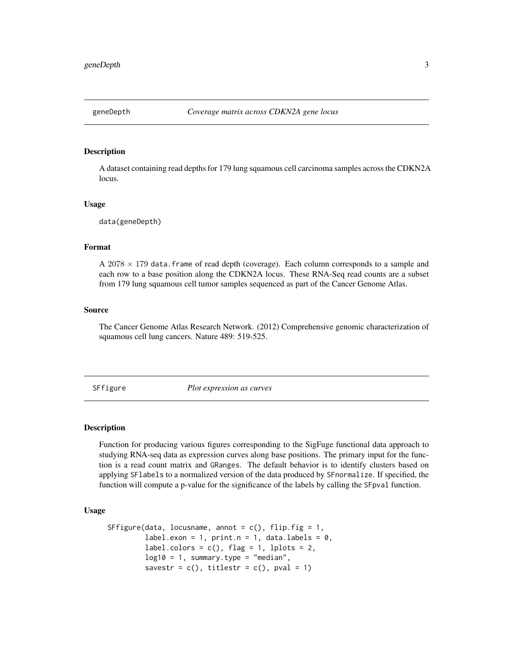<span id="page-2-0"></span>

#### Description

A dataset containing read depths for 179 lung squamous cell carcinoma samples across the CDKN2A locus.

#### Usage

data(geneDepth)

#### Format

 $A$  2078  $\times$  179 data. frame of read depth (coverage). Each column corresponds to a sample and each row to a base position along the CDKN2A locus. These RNA-Seq read counts are a subset from 179 lung squamous cell tumor samples sequenced as part of the Cancer Genome Atlas.

#### Source

The Cancer Genome Atlas Research Network. (2012) Comprehensive genomic characterization of squamous cell lung cancers. Nature 489: 519-525.

<span id="page-2-1"></span>SFfigure *Plot expression as curves*

#### Description

Function for producing various figures corresponding to the SigFuge functional data approach to studying RNA-seq data as expression curves along base positions. The primary input for the function is a read count matrix and GRanges. The default behavior is to identify clusters based on applying SFlabels to a normalized version of the data produced by SFnormalize. If specified, the function will compute a p-value for the significance of the labels by calling the SFpval function.

#### Usage

```
SFfigure(data, locusname, annot = c(), flip.fig = 1,
         label.exon = 1, print.n = 1, data.labels = 0,
         label.colors = c(), flag = 1, lplots = 2,
         log10 = 1, summary.type = "median",
         savestr = c(), titlestr = c(), pval = 1)
```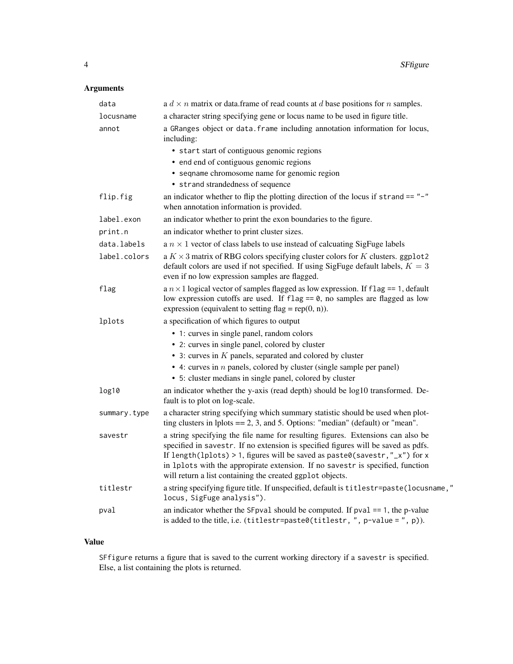#### Arguments

| data         | a $d \times n$ matrix or data. frame of read counts at d base positions for n samples.                                                                                                                                                                                                                                                                                                             |
|--------------|----------------------------------------------------------------------------------------------------------------------------------------------------------------------------------------------------------------------------------------------------------------------------------------------------------------------------------------------------------------------------------------------------|
| locusname    | a character string specifying gene or locus name to be used in figure title.                                                                                                                                                                                                                                                                                                                       |
| annot        | a GRanges object or data. frame including annotation information for locus,<br>including:                                                                                                                                                                                                                                                                                                          |
|              | • start start of contiguous genomic regions                                                                                                                                                                                                                                                                                                                                                        |
|              | • end end of contiguous genomic regions                                                                                                                                                                                                                                                                                                                                                            |
|              | • seqname chromosome name for genomic region                                                                                                                                                                                                                                                                                                                                                       |
|              | • strand strandedness of sequence                                                                                                                                                                                                                                                                                                                                                                  |
| flip.fig     | an indicator whether to flip the plotting direction of the locus if $strand == "-"$<br>when annotation information is provided.                                                                                                                                                                                                                                                                    |
| label.exon   | an indicator whether to print the exon boundaries to the figure.                                                                                                                                                                                                                                                                                                                                   |
| print.n      | an indicator whether to print cluster sizes.                                                                                                                                                                                                                                                                                                                                                       |
| data.labels  | a $n \times 1$ vector of class labels to use instead of calcuating SigFuge labels                                                                                                                                                                                                                                                                                                                  |
| label.colors | a $K \times 3$ matrix of RBG colors specifying cluster colors for K clusters. ggplot2<br>default colors are used if not specified. If using SigFuge default labels, $K = 3$<br>even if no low expression samples are flagged.                                                                                                                                                                      |
| flag         | a $n \times 1$ logical vector of samples flagged as low expression. If flag == 1, default<br>low expression cutoffs are used. If $flag == 0$ , no samples are flagged as low<br>expression (equivalent to setting flag = $rep(0, n)$ ).                                                                                                                                                            |
| lplots       | a specification of which figures to output                                                                                                                                                                                                                                                                                                                                                         |
|              | • 1: curves in single panel, random colors                                                                                                                                                                                                                                                                                                                                                         |
|              | • 2: curves in single panel, colored by cluster                                                                                                                                                                                                                                                                                                                                                    |
|              | $\bullet$ 3: curves in $K$ panels, separated and colored by cluster                                                                                                                                                                                                                                                                                                                                |
|              | $\bullet$ 4: curves in $n$ panels, colored by cluster (single sample per panel)                                                                                                                                                                                                                                                                                                                    |
|              | • 5: cluster medians in single panel, colored by cluster                                                                                                                                                                                                                                                                                                                                           |
| log10        | an indicator whether the y-axis (read depth) should be log10 transformed. De-<br>fault is to plot on log-scale.                                                                                                                                                                                                                                                                                    |
| summary.type | a character string specifying which summary statistic should be used when plot-<br>ting clusters in lplots $== 2, 3$ , and 5. Options: "median" (default) or "mean".                                                                                                                                                                                                                               |
| savestr      | a string specifying the file name for resulting figures. Extensions can also be<br>specified in savestr. If no extension is specified figures will be saved as pdfs.<br>If length(lplots) > 1, figures will be saved as paste0(savestr, "_x") for x<br>in 1p1ots with the appropirate extension. If no savestr is specified, function<br>will return a list containing the created ggplot objects. |
| titlestr     | a string specifying figure title. If unspecified, default is titlestr=paste(locusname,"<br>locus, SigFuge analysis").                                                                                                                                                                                                                                                                              |
| pval         | an indicator whether the SF pval should be computed. If $pval == 1$ , the p-value<br>is added to the title, i.e. (titlestr=paste0(titlestr, $"$ , p-value = $"$ , p)).                                                                                                                                                                                                                             |
|              |                                                                                                                                                                                                                                                                                                                                                                                                    |

#### Value

SFfigure returns a figure that is saved to the current working directory if a savestr is specified. Else, a list containing the plots is returned.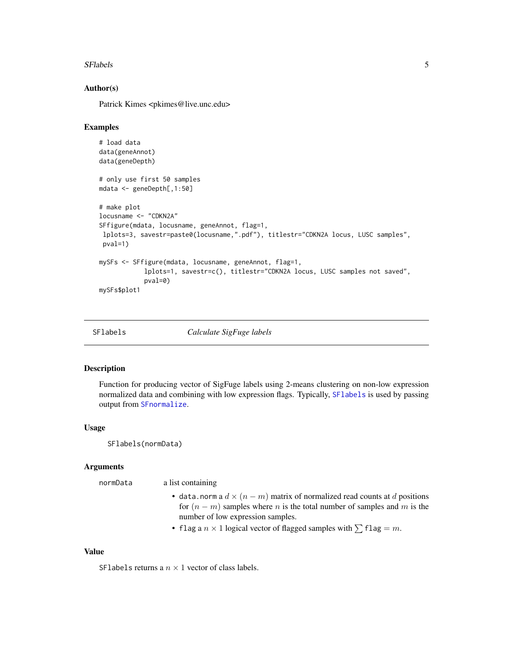#### <span id="page-4-0"></span>SFlabels 5

#### Author(s)

Patrick Kimes <pkimes@live.unc.edu>

#### Examples

```
# load data
data(geneAnnot)
data(geneDepth)
# only use first 50 samples
mdata <- geneDepth[,1:50]
# make plot
locusname <- "CDKN2A"
SFfigure(mdata, locusname, geneAnnot, flag=1,
lplots=3, savestr=paste0(locusname,".pdf"), titlestr="CDKN2A locus, LUSC samples",
pval=1)
mySFs <- SFfigure(mdata, locusname, geneAnnot, flag=1,
            lplots=1, savestr=c(), titlestr="CDKN2A locus, LUSC samples not saved",
            pval=0)
mySFs$plot1
```
<span id="page-4-1"></span>

SFlabels *Calculate SigFuge labels*

#### Description

Function for producing vector of SigFuge labels using 2-means clustering on non-low expression normalized data and combining with low expression flags. Typically, [SFlabels](#page-4-1) is used by passing output from [SFnormalize](#page-5-1).

#### Usage

SFlabels(normData)

#### Arguments

normData a list containing

- data.norm a  $d \times (n m)$  matrix of normalized read counts at d positions for  $(n - m)$  samples where *n* is the total number of samples and *m* is the number of low expression samples.
- flag a  $n \times 1$  logical vector of flagged samples with  $\sum$  flag = m.

#### Value

SFlabels returns a  $n \times 1$  vector of class labels.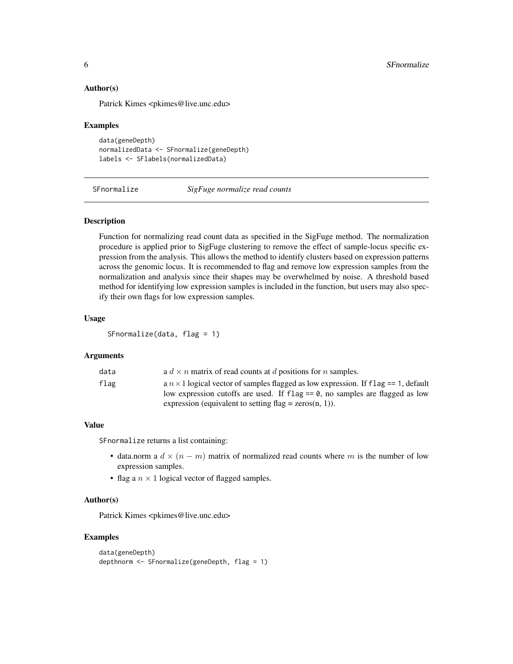#### Author(s)

Patrick Kimes <pkimes@live.unc.edu>

#### Examples

```
data(geneDepth)
normalizedData <- SFnormalize(geneDepth)
labels <- SFlabels(normalizedData)
```
<span id="page-5-1"></span>SFnormalize *SigFuge normalize read counts*

#### **Description**

Function for normalizing read count data as specified in the SigFuge method. The normalization procedure is applied prior to SigFuge clustering to remove the effect of sample-locus specific expression from the analysis. This allows the method to identify clusters based on expression patterns across the genomic locus. It is recommended to flag and remove low expression samples from the normalization and analysis since their shapes may be overwhelmed by noise. A threshold based method for identifying low expression samples is included in the function, but users may also specify their own flags for low expression samples.

#### Usage

SFnormalize(data, flag = 1)

#### Arguments

| data | a $d \times n$ matrix of read counts at d positions for n samples.                                                                                                              |
|------|---------------------------------------------------------------------------------------------------------------------------------------------------------------------------------|
| flag | a $n \times 1$ logical vector of samples flagged as low expression. If flag == 1, default<br>low expression cutoffs are used. If $f \log z = 0$ , no samples are flagged as low |
|      | expression (equivalent to setting flag = $\text{zeros}(n, 1)$ ).                                                                                                                |

#### Value

SFnormalize returns a list containing:

- data.norm a  $d \times (n m)$  matrix of normalized read counts where m is the number of low expression samples.
- flag a  $n \times 1$  logical vector of flagged samples.

#### Author(s)

Patrick Kimes <pkimes@live.unc.edu>

#### Examples

```
data(geneDepth)
depthnorm <- SFnormalize(geneDepth, flag = 1)
```
<span id="page-5-0"></span>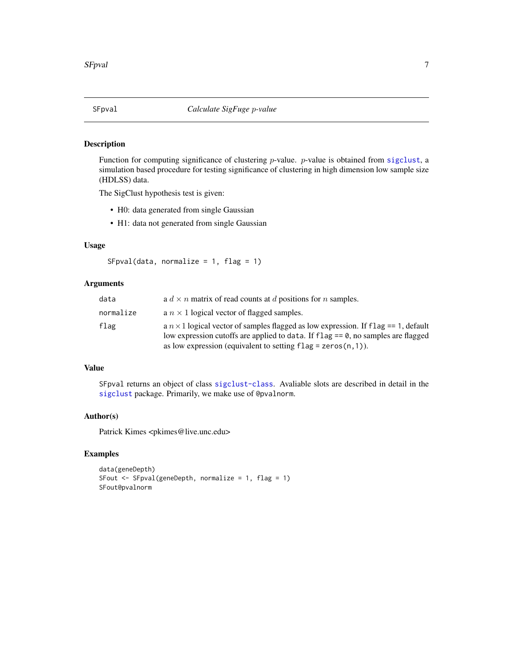#### <span id="page-6-1"></span><span id="page-6-0"></span>Description

Function for computing significance of clustering p-value. p-value is obtained from [sigclust](#page-0-0), a simulation based procedure for testing significance of clustering in high dimension low sample size (HDLSS) data.

The SigClust hypothesis test is given:

- H0: data generated from single Gaussian
- H1: data not generated from single Gaussian

#### Usage

```
SFpval(data, normalize = 1, flag = 1)
```
#### Arguments

| data      | a $d \times n$ matrix of read counts at d positions for n samples.                                                                                                                                                                                  |
|-----------|-----------------------------------------------------------------------------------------------------------------------------------------------------------------------------------------------------------------------------------------------------|
| normalize | a $n \times 1$ logical vector of flagged samples.                                                                                                                                                                                                   |
| flag      | a $n \times 1$ logical vector of samples flagged as low expression. If flag == 1, default<br>low expression cutoffs are applied to data. If $flag = 0$ , no samples are flagged<br>as low expression (equivalent to setting $flag = zeros(n, 1)$ ). |

#### Value

SFpval returns an object of class [sigclust-class](#page-0-0). Avaliable slots are described in detail in the [sigclust](#page-0-0) package. Primarily, we make use of @pvalnorm.

#### Author(s)

Patrick Kimes <pkimes@live.unc.edu>

#### Examples

```
data(geneDepth)
SFout \leq SFpval(geneDepth, normalize = 1, flag = 1)
SFout@pvalnorm
```